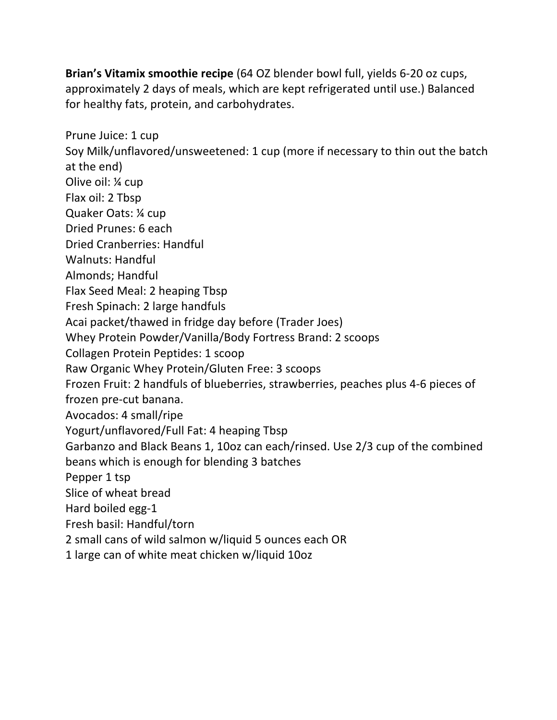**Brian's Vitamix smoothie recipe** (64 OZ blender bowl full, yields 6-20 oz cups, approximately 2 days of meals, which are kept refrigerated until use.) Balanced for healthy fats, protein, and carbohydrates.

| Prune Juice: 1 cup                                                                |
|-----------------------------------------------------------------------------------|
| Soy Milk/unflavored/unsweetened: 1 cup (more if necessary to thin out the batch   |
| at the end)                                                                       |
| Olive oil: ¼ cup                                                                  |
| Flax oil: 2 Tbsp                                                                  |
| Quaker Oats: 1/4 cup                                                              |
| Dried Prunes: 6 each                                                              |
| <b>Dried Cranberries: Handful</b>                                                 |
| <b>Walnuts: Handful</b>                                                           |
| Almonds; Handful                                                                  |
| Flax Seed Meal: 2 heaping Tbsp                                                    |
| Fresh Spinach: 2 large handfuls                                                   |
| Acai packet/thawed in fridge day before (Trader Joes)                             |
| Whey Protein Powder/Vanilla/Body Fortress Brand: 2 scoops                         |
| <b>Collagen Protein Peptides: 1 scoop</b>                                         |
| Raw Organic Whey Protein/Gluten Free: 3 scoops                                    |
| Frozen Fruit: 2 handfuls of blueberries, strawberries, peaches plus 4-6 pieces of |
| frozen pre-cut banana.                                                            |
| Avocados: 4 small/ripe                                                            |
| Yogurt/unflavored/Full Fat: 4 heaping Tbsp                                        |
| Garbanzo and Black Beans 1, 10oz can each/rinsed. Use 2/3 cup of the combined     |
| beans which is enough for blending 3 batches                                      |
| Pepper 1 tsp                                                                      |
| Slice of wheat bread                                                              |
| Hard boiled egg-1                                                                 |
| Fresh basil: Handful/torn                                                         |
| 2 small cans of wild salmon w/liquid 5 ounces each OR                             |
| 1 large can of white meat chicken w/liquid 10oz                                   |